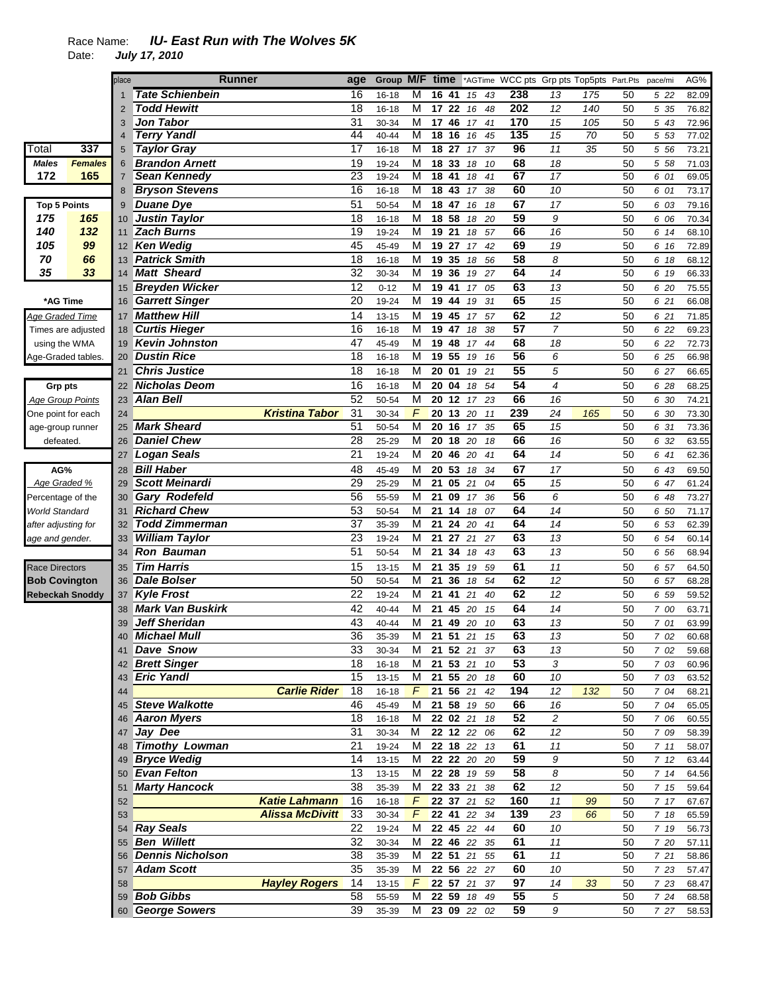# Race Name: *IU- East Run with The Wolves 5K*

Date: *July 17, 2010* 

|                               |                    | place | Runner                  |                        | age             | Group     | M/F time       |                 |                  |                         |    | *AGTime WCC pts Grp pts Top5pts Part.Pts |                          |     |    | pace/mi | AG%   |
|-------------------------------|--------------------|-------|-------------------------|------------------------|-----------------|-----------|----------------|-----------------|------------------|-------------------------|----|------------------------------------------|--------------------------|-----|----|---------|-------|
|                               |                    |       | <b>Tate Schienbein</b>  |                        | 16              | 16-18     | M              |                 | 16 41            | 15                      | 43 | 238                                      | 13                       | 175 | 50 | 5 22    | 82.09 |
|                               |                    | 2     | <b>Todd Hewitt</b>      |                        | 18              | $16 - 18$ | M              |                 | 17 22            | 16                      | 48 | 202                                      | 12                       | 140 | 50 | 5 35    | 76.82 |
|                               |                    | 3     | <b>Jon Tabor</b>        |                        | 31              | 30-34     | М              | 17              | 46               | 17                      | 41 | 170                                      | 15                       | 105 | 50 | 5 43    | 72.96 |
|                               |                    | 4     | <b>Terry Yandl</b>      |                        | 44              | 40-44     | M              | 18              | 16               | 16                      | 45 | 135                                      | 15                       | 70  | 50 | 5 53    | 77.02 |
| Total                         | 337                | 5     | <b>Taylor Gray</b>      |                        | 17              | $16 - 18$ | M              |                 | 18 <sup>27</sup> | 17                      | 37 | 96                                       | 11                       | 35  | 50 | 5 5 6   | 73.21 |
|                               |                    |       |                         |                        |                 |           |                |                 |                  |                         |    |                                          |                          |     |    |         |       |
| <b>Males</b>                  | <b>Females</b>     | 6     | <b>Brandon Arnett</b>   |                        | 19              | 19-24     | М              |                 | 18 33            | 18                      | 10 | 68                                       | 18                       |     | 50 | 5 58    | 71.03 |
| 172                           | 165                | 7     | <b>Sean Kennedy</b>     |                        | 23              | 19-24     | M              | $\overline{18}$ | 41               | 18                      | 41 | 67                                       | $\overline{17}$          |     | 50 | 6 01    | 69.05 |
|                               |                    | 8     | <b>Bryson Stevens</b>   |                        | 16              | $16 - 18$ | M              | $\overline{18}$ | 43               | 17                      | 38 | 60                                       | 10                       |     | 50 | 6 01    | 73.17 |
| <b>Top 5 Points</b>           |                    | 9     | <b>Duane Dye</b>        |                        | 51              | 50-54     | M              | 18              | 47               | 16                      | 18 | 67                                       | 17                       |     | 50 | 6 03    | 79.16 |
| 175                           | 165                | 10    | <b>Justin Taylor</b>    |                        | 18              | $16 - 18$ | M              | 18              | 58               | 18                      | 20 | 59                                       | 9                        |     | 50 | 6 06    | 70.34 |
| 140                           | 132                | 11    | <b>Zach Burns</b>       |                        | 19              | 19-24     | M              | 19              | 21               | 18                      | 57 | 66                                       | 16                       |     | 50 | 6 14    | 68.10 |
| 105                           | 99                 | 12    | <b>Ken Wedig</b>        |                        | 45              | 45-49     | M              | 19              | 27               | 17                      | 42 | 69                                       | 19                       |     | 50 | 6 16    | 72.89 |
| 70                            | 66                 | 13    | Patrick Smith           |                        | 18              | 16-18     | M              |                 | 19 35            | 18                      | 56 | 58                                       | 8                        |     | 50 | 6 18    | 68.12 |
| 35                            | 33                 | 14    | <b>Matt Sheard</b>      |                        | 32              | 30-34     | M              | 19              | 36               | 19                      | 27 | 64                                       | 14                       |     | 50 | 6 19    | 66.33 |
|                               |                    | 15    | <b>Breyden Wicker</b>   |                        | 12              | $0 - 12$  | M              | 19              | 41               | 17                      | 05 | 63                                       | 13                       |     | 50 | 6 20    | 75.55 |
| *AG Time                      |                    | 16    | <b>Garrett Singer</b>   |                        | 20              | 19-24     | M              | 19              | 44               | 19                      | 31 | 65                                       | 15                       |     | 50 | 6 21    | 66.08 |
| <u>Age Graded Time</u>        |                    | 17    | <b>Matthew Hill</b>     |                        | 14              | $13 - 15$ | M              |                 | 19 45            | 17                      | 57 | 62                                       | 12                       |     | 50 | 6 21    | 71.85 |
|                               | Times are adjusted | 18    | <b>Curtis Hieger</b>    |                        | 16              | 16-18     | м              |                 | 19 47            | 18                      | 38 | 57                                       | $\overline{7}$           |     | 50 | 6 22    | 69.23 |
| using the WMA                 |                    | 19    | <b>Kevin Johnston</b>   |                        | 47              | 45-49     | M              |                 | 19 48            | 17                      | 44 | 68                                       | 18                       |     | 50 | 6 22    | 72.73 |
| Age-Graded tables.            |                    | 20    | <b>Dustin Rice</b>      |                        | 18              | $16 - 18$ | M              | 19              | 55               | 19                      | 16 | 56                                       | 6                        |     | 50 | 6 25    | 66.98 |
|                               |                    | 21    | <b>Chris Justice</b>    |                        | 18              | $16 - 18$ | M              |                 | 20 01            | 19                      | 21 | 55                                       | 5                        |     | 50 | 6 27    | 66.65 |
| Grp pts                       |                    | 22    | Nicholas Deom           |                        | 16              | 16-18     | М              | 20              | 04               | 18                      | 54 | 54                                       | $\overline{\mathcal{A}}$ |     | 50 | 6 28    | 68.25 |
| <b>Age Group Points</b>       |                    | 23    | <b>Alan Bell</b>        |                        | 52              | 50-54     | M              | 20              | 12               | 17                      | 23 | 66                                       | 16                       |     | 50 | 6 30    | 74.21 |
| One point for each            |                    | 24    |                         | <b>Kristina Tabor</b>  | 31              | 30-34     | F              | 20              | 13               | 20                      | 11 | 239                                      | 24                       | 165 | 50 | 6 30    | 73.30 |
|                               |                    | 25    | <b>Mark Sheard</b>      |                        | 51              | 50-54     | М              | 20              | 16               | 17                      | 35 | 65                                       | 15                       |     | 50 | 6 31    | 73.36 |
| age-group runner<br>defeated. |                    | 26    | <b>Daniel Chew</b>      |                        | 28              | 25-29     | M              | 20              | 18               | 20                      | 18 | 66                                       | 16                       |     | 50 | 6 32    | 63.55 |
|                               |                    |       |                         |                        | 21              |           | M              |                 |                  |                         |    | 64                                       | 14                       |     | 50 |         |       |
|                               |                    | 27    | <b>Logan Seals</b>      |                        |                 | 19-24     |                | 20              | 46               | 20                      | 41 |                                          |                          |     |    | 6 41    | 62.36 |
| AG%                           |                    | 28    | <b>Bill Haber</b>       |                        | 48              | 45-49     | M              | 20              | 53               | 18                      | 34 | 67                                       | 17                       |     | 50 | 6 43    | 69.50 |
| Age Graded %                  |                    | 29    | <b>Scott Meinardi</b>   |                        | $\overline{29}$ | 25-29     | M              | 21              | 05               | 21                      | 04 | 65                                       | 15                       |     | 50 | 6 47    | 61.24 |
| Percentage of the             |                    | 30    | <b>Gary Rodefeld</b>    |                        | 56              | 55-59     | М              | 21              | 09               | 17                      | 36 | 56                                       | 6                        |     | 50 | 6 48    | 73.27 |
| World Standard                |                    | 31    | <b>Richard Chew</b>     |                        | 53              | 50-54     | M              | 21              | 14               | 18                      | 07 | 64                                       | 14                       |     | 50 | 6 50    | 71.17 |
| after adjusting for           |                    | 32    | <b>Todd Zimmerman</b>   |                        | 37              | 35-39     | M              | 21              | 24               | 20                      | 41 | 64                                       | 14                       |     | 50 | 6 53    | 62.39 |
| age and gender.               |                    | 33    | <b>William Taylor</b>   |                        | 23              | 19-24     | М              | 21              | 27               | 21                      | 27 | 63                                       | 13                       |     | 50 | 6 54    | 60.14 |
|                               |                    | 34    | <b>Ron Bauman</b>       |                        | 51              | 50-54     | M              | 21              | 34               | 18                      | 43 | 63                                       | 13                       |     | 50 | 6 56    | 68.94 |
| <b>Race Directors</b>         |                    | 35    | <b>Tim Harris</b>       |                        | 15              | $13 - 15$ | M              | 21              | 35               | 19                      | 59 | 61                                       | 11                       |     | 50 | 6 57    | 64.50 |
| <b>Bob Covington</b>          |                    | 36    | <b>Dale Bolser</b>      |                        | 50              | 50-54     | M              | 21              | 36               | 18                      | 54 | 62                                       | 12                       |     | 50 | 6 57    | 68.28 |
| <b>Rebeckah Snoddy</b>        |                    | 37    | <b>Kyle Frost</b>       |                        | 22              | 19-24     | M              | 21              | 41               | 21                      | 40 | 62                                       | 12                       |     | 50 | 6 59    | 59.52 |
|                               |                    | 38    | <b>Mark Van Buskirk</b> |                        | $\overline{42}$ | 40-44     | M              | 21              | 45               | 20                      | 15 | 64                                       | 14                       |     | 50 | 7 00    | 63.71 |
|                               |                    | 39    | <b>Jeff Sheridan</b>    |                        | 43              | 40-44     | M              | 21              | 49               | 20                      | 10 | 63                                       | 13                       |     | 50 | 7 01    | 63.99 |
|                               |                    |       | Michael Mull            |                        | 36              | 35-39     | M              |                 |                  | 21 51 21 15             |    | 63                                       | 13                       |     | 50 | 7 02    | 60.68 |
|                               |                    |       | 41 Dave Snow            |                        | 33              | 30-34     | M              |                 |                  | 21 52 21 37             |    | 63                                       | 13                       |     | 50 | 7 02    | 59.68 |
|                               |                    |       | 42 Brett Singer         |                        | 18              | $16 - 18$ | М              |                 |                  | 21 53 21 10             |    | $\overline{53}$                          | 3                        |     | 50 | 7 03    | 60.96 |
|                               |                    | 43    | <b>Eric Yandl</b>       |                        | 15              | $13 - 15$ | M              |                 |                  | $21\overline{55}$ 20 18 |    | 60                                       | 10                       |     | 50 | 7 03    | 63.52 |
|                               |                    | 44    |                         | <b>Carlie Rider</b>    | 18              | $16 - 18$ | $F_{\perp}$    |                 | 21 56 21         |                         | 42 | 194                                      | 12                       | 132 | 50 | 7 04    | 68.21 |
|                               |                    | 45    | <b>Steve Walkotte</b>   |                        | 46              | 45-49     | М              |                 |                  | 21 58 19 50             |    | 66                                       | 16                       |     | 50 | 7 04    | 65.05 |
|                               |                    | 46    | <b>Aaron Myers</b>      |                        | 18              | $16 - 18$ | м              |                 |                  | 22 02 21 18             |    | 52                                       | 2                        |     | 50 | 7 06    | 60.55 |
|                               |                    | 47    | Jay Dee                 |                        | 31              | 30-34     | М              |                 |                  | 22 12 22 06             |    | 62                                       | 12                       |     | 50 | 7 09    | 58.39 |
|                               |                    | 48    | <b>Timothy Lowman</b>   |                        | 21              | 19-24     | м              |                 | 22 18 22         |                         | 13 | 61                                       | 11                       |     | 50 | 711     | 58.07 |
|                               |                    |       | 49 Bryce Wedig          |                        | 14              | $13 - 15$ | M              |                 |                  | 22 22 20 20             |    | 59                                       | 9                        |     | 50 | 712     | 63.44 |
|                               |                    |       | 50 Evan Felton          |                        | 13              | $13 - 15$ | M              |                 |                  | 22 28 19 59             |    | 58                                       | 8                        |     | 50 | 714     | 64.56 |
|                               |                    | 51    | <b>Marty Hancock</b>    |                        | 38              | 35-39     | M              |                 | 22 33 21         |                         | 38 | 62                                       | 12                       |     | 50 | 7 15    | 59.64 |
|                               |                    | 52    |                         | <b>Katie Lahmann</b>   | 16              | $16 - 18$ | $\overline{F}$ |                 |                  | 22 37 21 52             |    | 160                                      | 11                       | 99  | 50 | 717     | 67.67 |
|                               |                    |       |                         |                        | 33              |           | F              |                 |                  |                         |    | 139                                      |                          |     |    |         |       |
|                               |                    | 53    |                         | <b>Alissa McDivitt</b> |                 | $30 - 34$ |                |                 |                  | 22 41 22 34             |    |                                          | 23                       | 66  | 50 | 7 18    | 65.59 |
|                               |                    |       | 54 Ray Seals            |                        | 22              | 19-24     | М              |                 |                  | 22 45 22 44             |    | 60                                       | 10                       |     | 50 | 7 19    | 56.73 |
|                               |                    |       | 55 Ben Willett          |                        | 32              | $30 - 34$ | М              |                 |                  | 22 46 22 35             |    | 61                                       | 11                       |     | 50 | 7 20    | 57.11 |
|                               |                    |       | 56 Dennis Nicholson     |                        | 38              | 35-39     | М              |                 |                  | 22 51 21 55             |    | 61                                       | 11                       |     | 50 | 721     | 58.86 |
|                               |                    | 57    | <b>Adam Scott</b>       |                        | 35              | 35-39     | M              |                 |                  | 22 56 22 27             |    | 60                                       | 10                       |     | 50 | 7 23    | 57.47 |
|                               |                    | 58    |                         | <b>Hayley Rogers</b>   | 14              | $13 - 15$ | F              |                 |                  | 22 57 21                | 37 | 97                                       | 14                       | 33  | 50 | 7 23    | 68.47 |
|                               |                    |       | 59 Bob Gibbs            |                        | 58              | 55-59     | м              |                 |                  | 22 59 18 49             |    | 55                                       | 5                        |     | 50 | 724     | 68.58 |
|                               |                    |       | 60 George Sowers        |                        | 39              | 35-39     | M              |                 |                  | 23 09 22 02             |    | 59                                       | 9                        |     | 50 | 7 27    | 58.53 |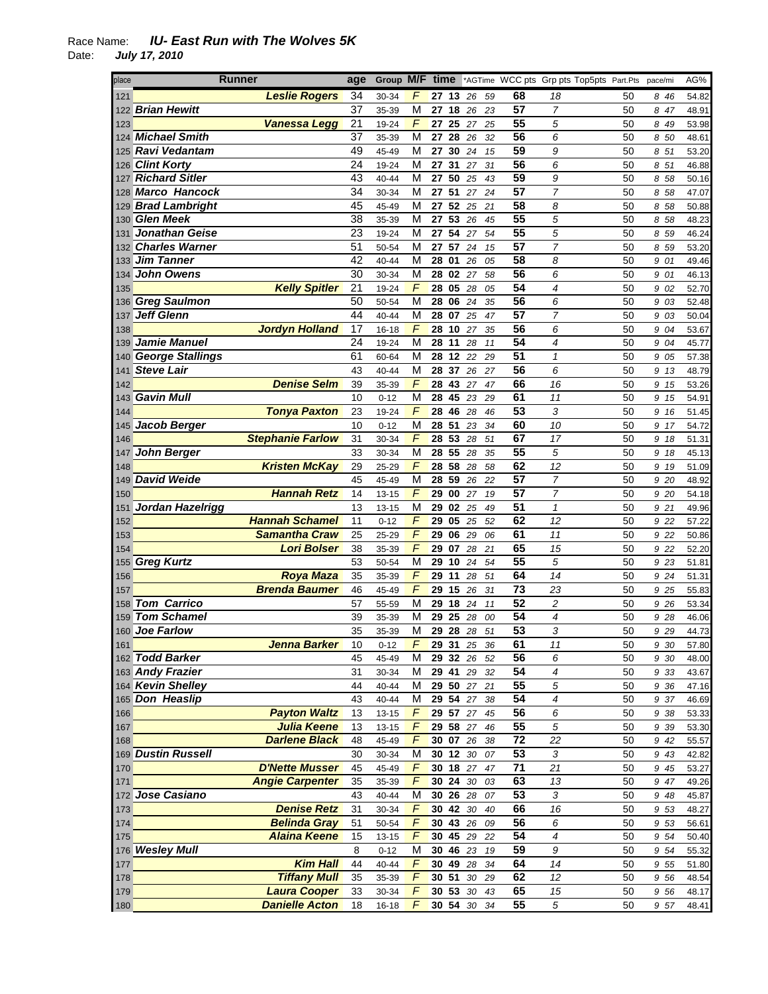| place | Runner                  | age | Group M/F |                | tıme     |    |             |    |                 | *AGTime WCC pts Grp pts Top5pts Part.Pts pace/mi |    |       | AG%   |
|-------|-------------------------|-----|-----------|----------------|----------|----|-------------|----|-----------------|--------------------------------------------------|----|-------|-------|
| 121   | <b>Leslie Rogers</b>    | 34  | 30-34     | F              | 27 13    |    | 26          | 59 | 68              | 18                                               | 50 | 8 4 6 | 54.82 |
| 122   | <b>Brian Hewitt</b>     | 37  | 35-39     | M              | 27       | 18 | 26          | 23 | 57              | 7                                                | 50 | 8 47  | 48.91 |
| 123   | Vanessa Legg            | 21  | 19-24     | F              | 27 25    |    | 27          | 25 | 55              | 5                                                | 50 | 8 49  | 53.98 |
| 124   | <b>Michael Smith</b>    | 37  | 35-39     | М              | 27 28    |    | 26          | 32 | 56              | 6                                                | 50 | 8 50  | 48.61 |
| 125   | <b>Ravi Vedantam</b>    | 49  | 45-49     | М              | 27 30    |    | 24          | 15 | 59              | 9                                                | 50 | 8 51  | 53.20 |
|       | 126 Clint Korty         | 24  | 19-24     | M              | 27       | 31 | 27          | 31 | 56              | 6                                                | 50 | 8 51  | 46.88 |
| 127   | <b>Richard Sitler</b>   | 43  | 40-44     | М              | 27 50    |    | 25          | 43 | 59              | 9                                                | 50 | 8 58  | 50.16 |
|       | 128 Marco Hancock       | 34  | 30-34     | M              | 27       | 51 | 27          | 24 | 57              | 7                                                | 50 | 8 58  | 47.07 |
|       | 129 Brad Lambright      | 45  | 45-49     | M              | 27 52    |    | 25          | 21 | 58              | 8                                                | 50 | 8 58  | 50.88 |
|       | 130 Glen Meek           | 38  | 35-39     | М              | 27 53    |    | 26          | 45 | 55              | 5                                                | 50 | 8 58  | 48.23 |
| 131   | <b>Jonathan Geise</b>   | 23  | 19-24     | M              | 27 54    |    | 27          | 54 | 55              | 5                                                | 50 | 8 59  | 46.24 |
|       | 132 Charles Warner      | 51  | 50-54     | M              | 27       | 57 | 24          | 15 | 57              | $\overline{7}$                                   | 50 | 8 59  | 53.20 |
|       | 133 Jim Tanner          | 42  | 40-44     | М              | 28 01    |    | 26          | 05 | 58              | 8                                                | 50 | 9 01  | 49.46 |
| 134   | <b>John Owens</b>       | 30  | 30-34     | M              | 28 02    |    | 27          | 58 | 56              | 6                                                | 50 | 9 01  | 46.13 |
| 135   | <b>Kelly Spitler</b>    | 21  | 19-24     | F              | 28 05    |    | 28          | 05 | 54              | 4                                                | 50 | 9 02  | 52.70 |
| 136   | <b>Greg Saulmon</b>     | 50  | 50-54     | M              | 28 06    |    | 24          | 35 | $\overline{56}$ | 6                                                | 50 | 9 03  | 52.48 |
| 137   | <b>Jeff Glenn</b>       | 44  | 40-44     | M              | 28 07    |    | 25          | 47 | 57              | $\overline{7}$                                   | 50 | 9 03  | 50.04 |
| 138   | <b>Jordyn Holland</b>   | 17  | 16-18     | F              | 28 10    |    | 27          | 35 | 56              | 6                                                | 50 | 9 04  | 53.67 |
|       | Jamie Manuel            | 24  |           | M              |          |    |             |    | 54              | 4                                                |    |       |       |
| 139   |                         |     | 19-24     |                | 28       | 11 | 28          | 11 | 51              |                                                  | 50 | 9 04  | 45.77 |
|       | 140 George Stallings    | 61  | 60-64     | М              | 28 12    |    | 22          | 29 |                 | $\mathbf{1}$                                     | 50 | 9 05  | 57.38 |
| 141   | <b>Steve Lair</b>       | 43  | $40 - 44$ | М              | 28 37    |    | 26          | 27 | 56              | 6                                                | 50 | 9 13  | 48.79 |
| 142   | <b>Denise Selm</b>      | 39  | 35-39     | F              | 28 43    |    | 27          | 47 | 66              | 16                                               | 50 | 9 15  | 53.26 |
|       | 143 Gavin Mull          | 10  | $0 - 12$  | M              | 28       | 45 | 23          | 29 | 61              | 11                                               | 50 | 9 15  | 54.91 |
| 144   | <b>Tonya Paxton</b>     | 23  | 19-24     | F              | 28 46    |    | 28          | 46 | 53              | 3                                                | 50 | 9 16  | 51.45 |
| 145   | Jacob Berger            | 10  | $0 - 12$  | M              | 28 51    |    | 23          | 34 | 60              | 10                                               | 50 | 9 17  | 54.72 |
| 146   | <b>Stephanie Farlow</b> | 31  | 30-34     | $\overline{F}$ | 28 53    |    | 28          | 51 | 67              | 17                                               | 50 | 9 18  | 51.31 |
| 147   | <b>John Berger</b>      | 33  | 30-34     | M              | 28 55    |    | 28          | 35 | 55              | 5                                                | 50 | 9 18  | 45.13 |
| 148   | <b>Kristen McKay</b>    | 29  | 25-29     | F              | 28 58    |    | 28          | 58 | 62              | 12                                               | 50 | 9 19  | 51.09 |
|       | 149 David Weide         | 45  | 45-49     | M              | 28 59    |    | 26          | 22 | 57              | 7                                                | 50 | 9 20  | 48.92 |
| 150   | <b>Hannah Retz</b>      | 14  | 13-15     | F              | 29 00    |    | 27          | 19 | 57              | 7                                                | 50 | 9 20  | 54.18 |
| 151   | Jordan Hazelrigg        | 13  | 13-15     | M              | 29 02    |    | 25          | 49 | 51              | $\mathbf{1}$                                     | 50 | 9 21  | 49.96 |
| 152   | <b>Hannah Schamel</b>   | 11  | $0 - 12$  | F              | 29 05    |    | 25          | 52 | 62              | 12                                               | 50 | 9 22  | 57.22 |
| 153   | <b>Samantha Craw</b>    | 25  | 25-29     | $\overline{F}$ | 29 06    |    | 29          | 06 | 61              | 11                                               | 50 | 9 22  | 50.86 |
| 154   | <b>Lori Bolser</b>      | 38  | 35-39     | F              | 29       | 07 | 28          | 21 | 65              | 15                                               | 50 | 9 22  | 52.20 |
|       | 155 Greg Kurtz          | 53  | 50-54     | M              | 29 10    |    | 24          | 54 | 55              | 5                                                | 50 | 9 23  | 51.81 |
| 156   | <b>Roya Maza</b>        | 35  | 35-39     | F              | 29 11    |    | 28          | 51 | 64              | 14                                               | 50 | 9 24  | 51.31 |
| 157   | <b>Brenda Baumer</b>    | 46  | 45-49     | F              | 29 15    |    | 26          | 31 | 73              | 23                                               | 50 | 9 25  | 55.83 |
| 158   | <b>Tom Carrico</b>      | 57  | 55-59     | М              | 29 18    |    | 24          | 11 | 52              | 2                                                | 50 | 9 26  | 53.34 |
| 159   | <b>Tom Schamel</b>      | 39  | 35-39     | М              | 29       | 25 | 28          | 00 | 54              | 4                                                | 50 | 9 28  | 46.06 |
|       | 160 Joe Farlow          | 35  | 35-39     | M              | 29 28    |    | 28          | 51 | 53              | 3                                                | 50 | 9 2 9 | 44.73 |
| 161   | <b>Jenna Barker</b>     | 10  | $0 - 12$  | F              |          |    | 29 31 25 36 |    | 61              | 11                                               | 50 | 9 30  | 57.80 |
|       | 162 Todd Barker         | 45  | 45-49     | М              |          |    | 29 32 26 52 |    | 56              | 6                                                | 50 | 9 30  | 48.00 |
|       | 163 Andy Frazier        | 31  | 30-34     | м              |          |    | 29 41 29 32 |    | 54              | 4                                                | 50 | 9 3 3 | 43.67 |
|       | 164 Kevin Shelley       | 44  | 40-44     | M              |          |    | 29 50 27 21 |    | $\overline{55}$ | 5                                                | 50 | 9 36  | 47.16 |
|       | 165 Don Heaslip         | 43  | 40-44     | M              | 29 54 27 |    |             | 38 | 54              | $\overline{4}$                                   | 50 | 9 37  | 46.69 |
| 166   | <b>Payton Waltz</b>     | 13  | $13 - 15$ | F              |          |    | 29 57 27 45 |    | 56              | 6                                                | 50 | 9 38  | 53.33 |
| 167   | <b>Julia Keene</b>      | 13  | 13-15     | F              | 29 58 27 |    |             | 46 | 55              | 5                                                | 50 | 9 3 9 | 53.30 |
| 168   | <b>Darlene Black</b>    | 48  | 45-49     | F              | 30 07    |    | 26          | 38 | 72              | 22                                               | 50 | 9 42  | 55.57 |
|       | 169 Dustin Russell      | 30  | 30-34     | M              |          |    | 30 12 30 07 |    | 53              | 3                                                | 50 | 9 43  | 42.82 |
| 170   | <b>D'Nette Musser</b>   | 45  | 45-49     | F              | 30 18 27 |    |             | 47 | $\overline{71}$ | 21                                               | 50 | 9 45  | 53.27 |
| 171   | <b>Angie Carpenter</b>  | 35  | 35-39     | F              | 30 24    |    | 30          | 03 | 63              | 13                                               | 50 | 9 47  | 49.26 |
|       | 172 Jose Casiano        | 43  | 40-44     | M              |          |    | 30 26 28    | 07 | 53              | 3                                                | 50 | 9 48  | 45.87 |
| 173   | <b>Denise Retz</b>      | 31  | 30-34     | F              | 30 42    |    | 30          | 40 | 66              | 16                                               | 50 | 9 53  | 48.27 |
| 174   | <b>Belinda Gray</b>     | 51  | 50-54     | F              | 30 43 26 |    |             | 09 | 56              | 6                                                | 50 | 9 53  | 56.61 |
| 175   | <b>Alaina Keene</b>     | 15  | 13-15     | F              |          |    | 30 45 29 22 |    | $\overline{54}$ | 4                                                | 50 | 9 54  | 50.40 |
|       | 176 Wesley Mull         | 8   | $0 - 12$  | M              | 30 46 23 |    |             | 19 | 59              | 9                                                | 50 | 9 54  | 55.32 |
| 177   | <b>Kim Hall</b>         | 44  | 40-44     | F              | 30 49 28 |    |             | 34 | 64              | 14                                               | 50 | 9 55  | 51.80 |
| 178   | <b>Tiffany Mull</b>     | 35  | 35-39     | F              | 30 51    |    | $30\,$      | 29 | 62              | 12                                               | 50 | 9 56  | 48.54 |
| 179   | <b>Laura Cooper</b>     | 33  | 30-34     | F              | 30 53 30 |    |             | 43 | 65              | 15                                               | 50 | 9 56  | 48.17 |
| 180   | <b>Danielle Acton</b>   | 18  | $16 - 18$ | F              |          |    | 30 54 30 34 |    | 55              | 5                                                | 50 | 9 57  | 48.41 |
|       |                         |     |           |                |          |    |             |    |                 |                                                  |    |       |       |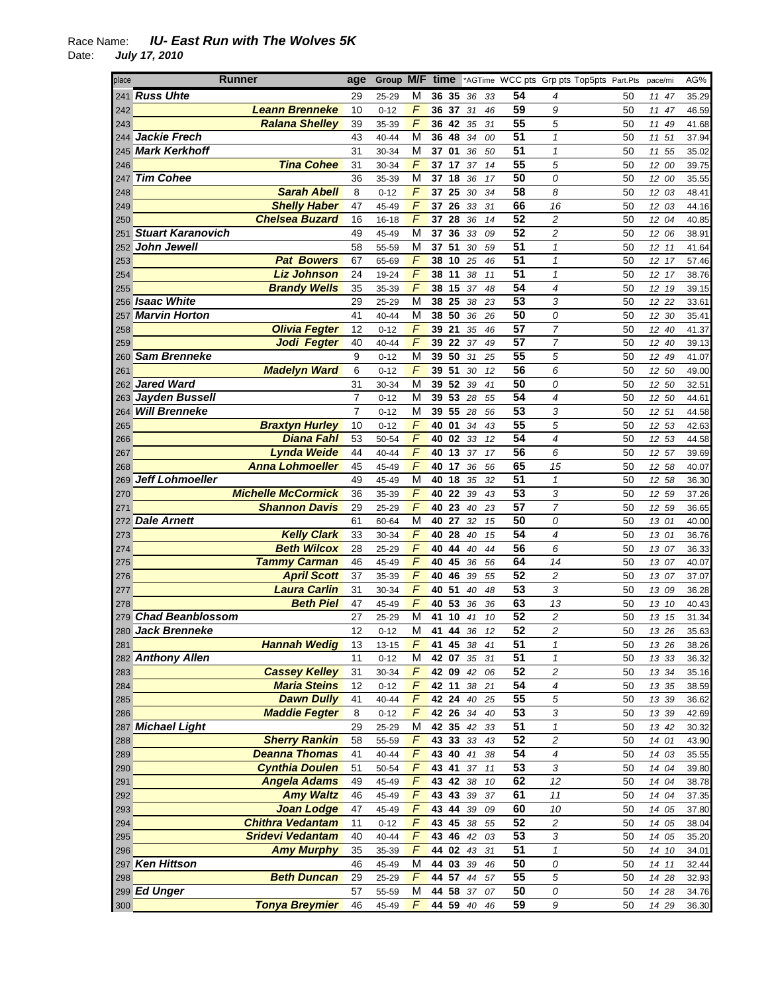| place | Runner                    | age            | Group M/F time |                |             |    |    |                 | *AGTime WCC pts Grp pts Top5pts Part.Pts |    | pace/mi | AG%   |
|-------|---------------------------|----------------|----------------|----------------|-------------|----|----|-----------------|------------------------------------------|----|---------|-------|
| 241   | <b>Russ Uhte</b>          | 29             | 25-29          | M              | 36 35       | 36 | 33 | 54              | 4                                        | 50 | 11 47   | 35.29 |
| 242   | <b>Leann Brenneke</b>     | 10             | $0 - 12$       | F              | 36 37       | 31 | 46 | 59              | 9                                        | 50 | 11 47   | 46.59 |
| 243   | <b>Ralana Shelley</b>     | 39             | 35-39          | F              | 36 42       | 35 | 31 | 55              | 5                                        | 50 | 11 49   | 41.68 |
|       | 244 <b>Jackie Frech</b>   | 43             | 40-44          | М              | 36<br>48    | 34 | 00 | 51              | $\mathcal I$                             | 50 | 11 51   | 37.94 |
|       | 245 Mark Kerkhoff         | 31             | 30-34          | М              | 37 01       | 36 | 50 | 51              | $\mathbf{1}$                             | 50 | 11 55   | 35.02 |
| 246   | <b>Tina Cohee</b>         | 31             | 30-34          | F              | 37 17       | 37 | 14 | 55              | 5                                        | 50 | 12 00   | 39.75 |
|       | 247 Tim Cohee             | 36             | 35-39          | M              | 37 18       | 36 | 17 | 50              | 0                                        | 50 | 12 00   | 35.55 |
| 248   | <b>Sarah Abell</b>        | 8              | $0 - 12$       | F              | 37 25       | 30 | 34 | 58              | 8                                        | 50 | 12 03   | 48.41 |
| 249   | <b>Shelly Haber</b>       | 47             | 45-49          | F              | 37 26       | 33 | 31 | 66              | 16                                       | 50 | 12 03   | 44.16 |
| 250   | <b>Chelsea Buzard</b>     | 16             | $16 - 18$      | F              | 37 28       | 36 | 14 | 52              | 2                                        | 50 | 12 04   | 40.85 |
|       | 251 Stuart Karanovich     | 49             | 45-49          | M              | 37<br>36    | 33 | 09 | $\overline{52}$ | $\overline{\mathbf{c}}$                  | 50 | 12 06   | 38.91 |
|       | 252 John Jewell           | 58             | 55-59          | M              | 51<br>37    | 30 | 59 | $\overline{51}$ | $\mathbf{1}$                             | 50 | 12 11   | 41.64 |
| 253   | <b>Pat Bowers</b>         | 67             | 65-69          | F              | 38 10       | 25 | 46 | 51              | $\mathbf{1}$                             | 50 | 12 17   | 57.46 |
| 254   | <b>Liz Johnson</b>        | 24             | 19-24          | F              | 38 11       | 38 | 11 | 51              | $\mathbf{1}$                             | 50 | 12 17   | 38.76 |
| 255   | <b>Brandy Wells</b>       | 35             | 35-39          | F              | 38 15       | 37 | 48 | 54              | 4                                        | 50 | 12 19   | 39.15 |
|       | 256 Isaac White           | 29             | 25-29          | М              | 38 25       | 38 | 23 | 53              | 3                                        | 50 | 12 22   | 33.61 |
| 257   | <b>Marvin Horton</b>      | 41             | 40-44          | M              | 38 50       | 36 | 26 | 50              | 0                                        | 50 | 12 30   | 35.41 |
| 258   | <b>Olivia Fegter</b>      | 12             | $0 - 12$       | F              | 39 21       | 35 | 46 | $\overline{57}$ | $\overline{7}$                           | 50 | 12 40   | 41.37 |
| 259   | Jodi Fegter               | 40             | 40-44          | F              | 39 22       | 37 | 49 | 57              | $\overline{7}$                           | 50 | 12 40   | 39.13 |
|       | 260 Sam Brenneke          | 9              | $0 - 12$       | M              | 39 50       | 31 | 25 | 55              | 5                                        | 50 | 12 49   | 41.07 |
| 261   | <b>Madelyn Ward</b>       | 6              | $0 - 12$       | F              | 39 51       | 30 | 12 | 56              | 6                                        | 50 | 12 50   | 49.00 |
|       | 262 Jared Ward            | 31             | 30-34          | M              | 39 52       | 39 | 41 | 50              | 0                                        | 50 | 12 50   | 32.51 |
|       | 263 Jayden Bussell        | $\overline{7}$ | $0 - 12$       | M              | 39 53       | 28 | 55 | 54              | $\overline{\mathcal{A}}$                 | 50 | 12 50   | 44.61 |
|       | 264 Will Brenneke         | $\overline{7}$ | $0 - 12$       | М              | 39 55       | 28 | 56 | 53              | 3                                        | 50 | 12 51   | 44.58 |
| 265   | <b>Braxtyn Hurley</b>     | 10             | $0 - 12$       | F              | 40 01       | 34 | 43 | 55              | 5                                        | 50 | 12 53   | 42.63 |
| 266   | <b>Diana Fahl</b>         | 53             | 50-54          | F              | 40 02       | 33 | 12 | 54              | 4                                        | 50 | 12 53   | 44.58 |
| 267   | <b>Lynda Weide</b>        | 44             | 40-44          | F              | 40 13       | 37 | 17 | 56              | 6                                        | 50 | 12 57   | 39.69 |
| 268   | <b>Anna Lohmoeller</b>    | 45             | 45-49          | F              | 40 17       | 36 | 56 | 65              | 15                                       | 50 | 12 58   | 40.07 |
| 269   | <b>Jeff Lohmoeller</b>    | 49             | 45-49          | M              | 40 18       | 35 | 32 | $\overline{51}$ | $\mathcal I$                             | 50 | 12 58   | 36.30 |
| 270   | <b>Michelle McCormick</b> | 36             | 35-39          | F              | 40 22       | 39 | 43 | 53              | 3                                        | 50 | 12 59   | 37.26 |
| 271   | <b>Shannon Davis</b>      | 29             | 25-29          | F              | 40 23       | 40 | 23 | 57              | $\overline{7}$                           | 50 | 12 59   | 36.65 |
|       | 272 Dale Arnett           | 61             | 60-64          | М              | 40 27       | 32 | 15 | 50              | 0                                        | 50 | 13 01   | 40.00 |
| 273   | <b>Kelly Clark</b>        | 33             | 30-34          | F              | 40 28       | 40 | 15 | 54              | 4                                        | 50 | 13 01   | 36.76 |
| 274   | <b>Beth Wilcox</b>        | 28             | 25-29          | F              | 40 44       | 40 | 44 | 56              | 6                                        | 50 | 13 07   | 36.33 |
| 275   | <b>Tammy Carman</b>       | 46             | 45-49          | $\overline{F}$ | 40 45       | 36 | 56 | 64              | 14                                       | 50 | 13 07   | 40.07 |
| 276   | <b>April Scott</b>        | 37             | 35-39          | $\overline{F}$ | 40 46       | 39 | 55 | 52              | $\overline{c}$                           | 50 | 13 07   | 37.07 |
| 277   | <b>Laura Carlin</b>       | 31             | 30-34          | F              | 40 51       | 40 | 48 | 53              | 3                                        | 50 | 13 09   | 36.28 |
| 278   | <b>Beth Piel</b>          | 47             | 45-49          | F              | 40 53       | 36 | 36 | 63              | 13                                       | 50 | 13 10   | 40.43 |
| 279   | <b>Chad Beanblossom</b>   | 27             | 25-29          | М              | 41<br>10    | 41 | 10 | $\overline{52}$ | 2                                        | 50 | 13 15   | 31.34 |
|       | 280 Jack Brenneke         | 12             | $0 - 12$       | M              | 41<br>44    | 36 | 12 | 52              | 2                                        | 50 | 13 26   | 35.63 |
| 281   | <b>Hannah Wedig</b>       | 13             | 13-15          | F              | 41 45 38    |    | 41 | 51              | 1                                        | 50 | 13 26   | 38.26 |
|       | 282 Anthony Allen         | 11             | $0 - 12$       | M              | 42 07       | 35 | 31 | 51              | $\mathbf{1}$                             | 50 | 13 33   | 36.32 |
| 283   | <b>Cassey Kelley</b>      | 31             | 30-34          | F              | 42 09       | 42 | 06 | 52              | $\overline{c}$                           | 50 | 13 34   | 35.16 |
| 284   | <b>Maria Steins</b>       | 12             | $0 - 12$       | F              | 42 11       | 38 | 21 | 54              | 4                                        | 50 | 13 35   | 38.59 |
| 285   | <b>Dawn Dully</b>         | 41             | 40-44          | F              | 42 24       | 40 | 25 | $\overline{55}$ | 5                                        | 50 | 13 39   | 36.62 |
| 286   | <b>Maddie Fegter</b>      | 8              | $0 - 12$       | F              | 42 26       | 34 | 40 | 53              | 3                                        | 50 | 13 39   | 42.69 |
|       | 287 Michael Light         | 29             | 25-29          | M              | 42 35 42    |    | 33 | 51              | $\mathbf{1}$                             | 50 | 13 42   | 30.32 |
| 288   | <b>Sherry Rankin</b>      | 58             | 55-59          | F              | 43 33       | 33 | 43 | 52              | $\overline{c}$                           | 50 | 14 01   | 43.90 |
| 289   | <b>Deanna Thomas</b>      | 41             | 40-44          | F              | 43 40       | 41 | 38 | 54              | 4                                        | 50 | 14 03   | 35.55 |
| 290   | <b>Cynthia Doulen</b>     | 51             | 50-54          | $\overline{F}$ | 43 41       | 37 | 11 | $\overline{53}$ | 3                                        | 50 | 14 04   | 39.80 |
| 291   | <b>Angela Adams</b>       | 49             | 45-49          | $\sqrt{2}$     | 43 42       | 38 | 10 | 62              | 12                                       | 50 | 14 04   | 38.78 |
| 292   | <b>Amy Waltz</b>          | 46             | 45-49          | F              | 43 43       | 39 | 37 | 61              | 11                                       | 50 | 14 04   | 37.35 |
| 293   | <b>Joan Lodge</b>         | 47             | 45-49          | F              | 43 44       | 39 | 09 | 60              | 10                                       | 50 | 14 05   | 37.80 |
| 294   | <b>Chithra Vedantam</b>   | 11             | $0 - 12$       | F              | 43 45       | 38 | 55 | 52              | $\sqrt{2}$                               | 50 | 14 05   | 38.04 |
| 295   | <b>Sridevi Vedantam</b>   | 40             | 40-44          | F              | 43 46       | 42 | 03 | 53              | 3                                        | 50 | 14 05   | 35.20 |
| 296   | <b>Amy Murphy</b>         | 35             | 35-39          | F              | 44 02       | 43 | 31 | $\overline{51}$ | $\mathbf{1}$                             | 50 | 14 10   | 34.01 |
|       | 297 Ken Hittson           | 46             | 45-49          | M              | 44 03       | 39 | 46 | 50              | 0                                        | 50 | 14 11   | 32.44 |
| 298   | <b>Beth Duncan</b>        | 29             | 25-29          | F              | 44 57 44    |    | 57 | 55              | 5                                        | 50 | 14 28   | 32.93 |
|       | 299 Ed Unger              | 57             | 55-59          | М              | 44 58       | 37 | 07 | 50              | 0                                        | 50 | 14 28   | 34.76 |
| 300   | <b>Tonya Breymier</b>     | 46             | 45-49          | F              | 44 59 40 46 |    |    | 59              | 9                                        | 50 | 14 29   | 36.30 |